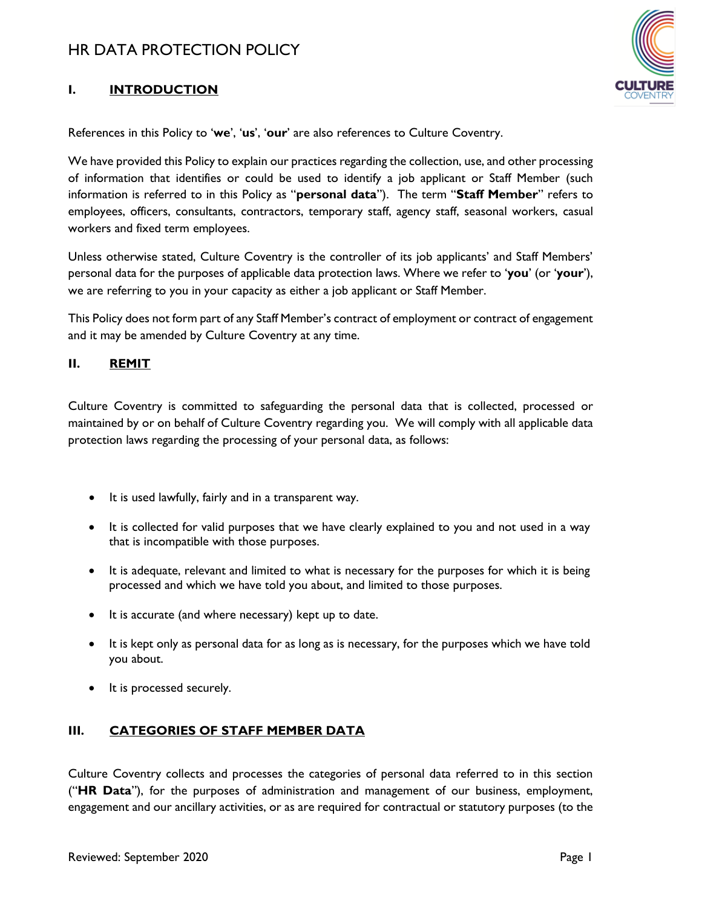

## **I. INTRODUCTION**

References in this Policy to '**we**', '**us**', '**our**' are also references to Culture Coventry.

We have provided this Policy to explain our practices regarding the collection, use, and other processing of information that identifies or could be used to identify a job applicant or Staff Member (such information is referred to in this Policy as "**personal data**"). The term "**Staff Member**" refers to employees, officers, consultants, contractors, temporary staff, agency staff, seasonal workers, casual workers and fixed term employees.

Unless otherwise stated, Culture Coventry is the controller of its job applicants' and Staff Members' personal data for the purposes of applicable data protection laws. Where we refer to '**you**' (or '**your**'), we are referring to you in your capacity as either a job applicant or Staff Member.

This Policy does not form part of any Staff Member's contract of employment or contract of engagement and it may be amended by Culture Coventry at any time.

### **II. REMIT**

Culture Coventry is committed to safeguarding the personal data that is collected, processed or maintained by or on behalf of Culture Coventry regarding you. We will comply with all applicable data protection laws regarding the processing of your personal data, as follows:

- It is used lawfully, fairly and in a transparent way.
- It is collected for valid purposes that we have clearly explained to you and not used in a way that is incompatible with those purposes.
- It is adequate, relevant and limited to what is necessary for the purposes for which it is being processed and which we have told you about, and limited to those purposes.
- It is accurate (and where necessary) kept up to date.
- It is kept only as personal data for as long as is necessary, for the purposes which we have told you about.
- It is processed securely.

## **III. CATEGORIES OF STAFF MEMBER DATA**

Culture Coventry collects and processes the categories of personal data referred to in this section ("**HR Data**"), for the purposes of administration and management of our business, employment, engagement and our ancillary activities, or as are required for contractual or statutory purposes (to the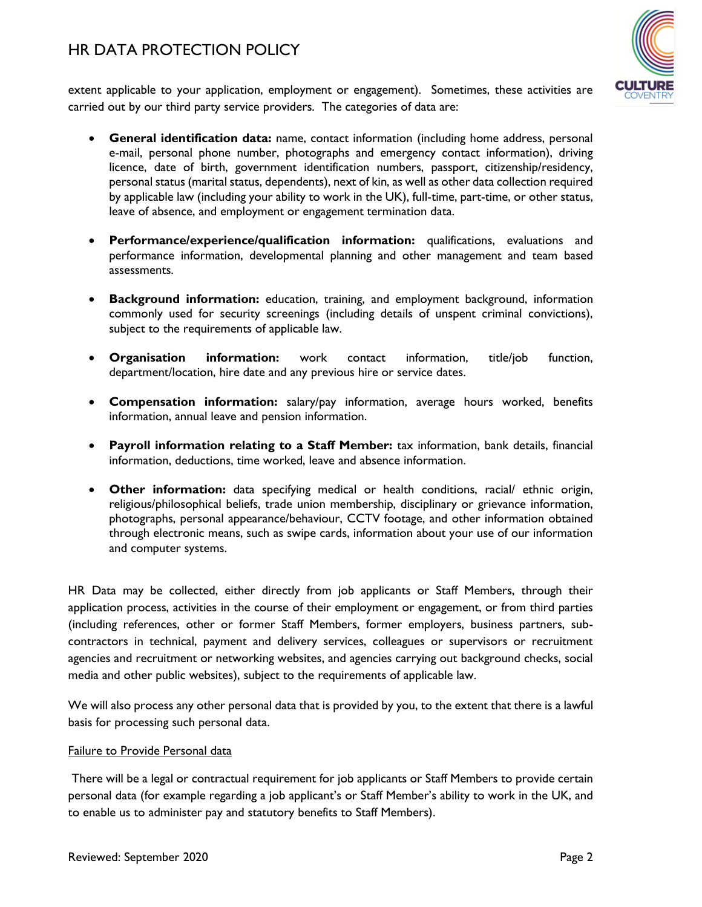

extent applicable to your application, employment or engagement). Sometimes, these activities are carried out by our third party service providers. The categories of data are:

- **General identification data:** name, contact information (including home address, personal e-mail, personal phone number, photographs and emergency contact information), driving licence, date of birth, government identification numbers, passport, citizenship/residency, personal status (marital status, dependents), next of kin, as well as other data collection required by applicable law (including your ability to work in the UK), full-time, part-time, or other status, leave of absence, and employment or engagement termination data.
- **Performance/experience/qualification information:** qualifications, evaluations and performance information, developmental planning and other management and team based assessments.
- **Background information:** education, training, and employment background, information commonly used for security screenings (including details of unspent criminal convictions), subject to the requirements of applicable law.
- **Organisation information:** work contact information, title/job function, department/location, hire date and any previous hire or service dates.
- **Compensation information:** salary/pay information, average hours worked, benefits information, annual leave and pension information.
- **Payroll information relating to a Staff Member:** tax information, bank details, financial information, deductions, time worked, leave and absence information.
- **Other information:** data specifying medical or health conditions, racial/ ethnic origin, religious/philosophical beliefs, trade union membership, disciplinary or grievance information, photographs, personal appearance/behaviour, CCTV footage, and other information obtained through electronic means, such as swipe cards, information about your use of our information and computer systems.

HR Data may be collected, either directly from job applicants or Staff Members, through their application process, activities in the course of their employment or engagement, or from third parties (including references, other or former Staff Members, former employers, business partners, subcontractors in technical, payment and delivery services, colleagues or supervisors or recruitment agencies and recruitment or networking websites, and agencies carrying out background checks, social media and other public websites), subject to the requirements of applicable law.

We will also process any other personal data that is provided by you, to the extent that there is a lawful basis for processing such personal data.

#### Failure to Provide Personal data

There will be a legal or contractual requirement for job applicants or Staff Members to provide certain personal data (for example regarding a job applicant's or Staff Member's ability to work in the UK, and to enable us to administer pay and statutory benefits to Staff Members).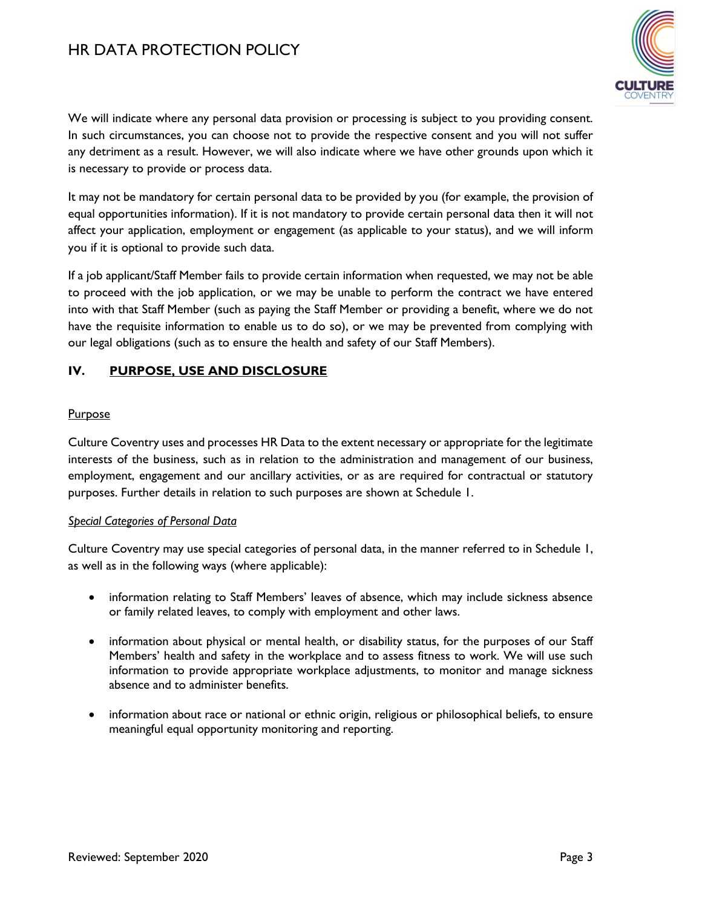

We will indicate where any personal data provision or processing is subject to you providing consent. In such circumstances, you can choose not to provide the respective consent and you will not suffer any detriment as a result. However, we will also indicate where we have other grounds upon which it is necessary to provide or process data.

It may not be mandatory for certain personal data to be provided by you (for example, the provision of equal opportunities information). If it is not mandatory to provide certain personal data then it will not affect your application, employment or engagement (as applicable to your status), and we will inform you if it is optional to provide such data.

If a job applicant/Staff Member fails to provide certain information when requested, we may not be able to proceed with the job application, or we may be unable to perform the contract we have entered into with that Staff Member (such as paying the Staff Member or providing a benefit, where we do not have the requisite information to enable us to do so), or we may be prevented from complying with our legal obligations (such as to ensure the health and safety of our Staff Members).

## <span id="page-2-0"></span>**IV. PURPOSE, USE AND DISCLOSURE**

#### **Purpose**

Culture Coventry uses and processes HR Data to the extent necessary or appropriate for the legitimate interests of the business, such as in relation to the administration and management of our business, employment, engagement and our ancillary activities, or as are required for contractual or statutory purposes. Further details in relation to such purposes are shown at Schedule 1.

#### *Special Categories of Personal Data*

Culture Coventry may use special categories of personal data, in the manner referred to in Schedule 1, as well as in the following ways (where applicable):

- information relating to Staff Members' leaves of absence, which may include sickness absence or family related leaves, to comply with employment and other laws.
- information about physical or mental health, or disability status, for the purposes of our Staff Members' health and safety in the workplace and to assess fitness to work. We will use such information to provide appropriate workplace adjustments, to monitor and manage sickness absence and to administer benefits.
- information about race or national or ethnic origin, religious or philosophical beliefs, to ensure meaningful equal opportunity monitoring and reporting.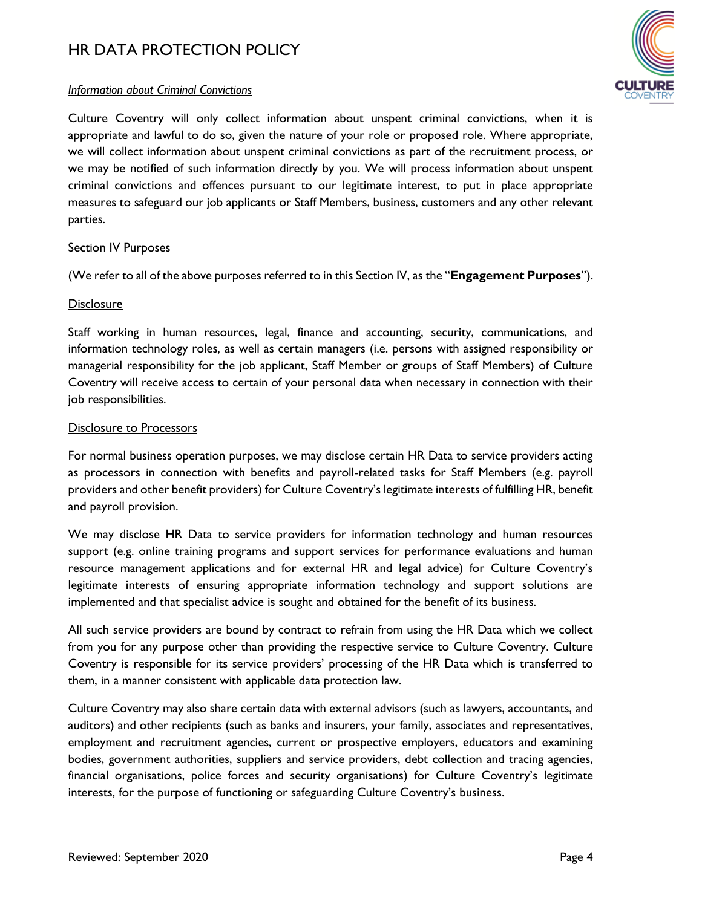

#### *Information about Criminal Convictions*

Culture Coventry will only collect information about unspent criminal convictions, when it is appropriate and lawful to do so, given the nature of your role or proposed role. Where appropriate, we will collect information about unspent criminal convictions as part of the recruitment process, or we may be notified of such information directly by you. We will process information about unspent criminal convictions and offences pursuant to our legitimate interest, to put in place appropriate measures to safeguard our job applicants or Staff Members, business, customers and any other relevant parties.

#### Section IV Purposes

(We refer to all of the above purposes referred to in this Sectio[n IV](#page-2-0), as the "**Engagement Purposes**").

#### **Disclosure**

Staff working in human resources, legal, finance and accounting, security, communications, and information technology roles, as well as certain managers (i.e. persons with assigned responsibility or managerial responsibility for the job applicant, Staff Member or groups of Staff Members) of Culture Coventry will receive access to certain of your personal data when necessary in connection with their job responsibilities.

#### Disclosure to Processors

For normal business operation purposes, we may disclose certain HR Data to service providers acting as processors in connection with benefits and payroll-related tasks for Staff Members (e.g. payroll providers and other benefit providers) for Culture Coventry's legitimate interests of fulfilling HR, benefit and payroll provision.

We may disclose HR Data to service providers for information technology and human resources support (e.g. online training programs and support services for performance evaluations and human resource management applications and for external HR and legal advice) for Culture Coventry's legitimate interests of ensuring appropriate information technology and support solutions are implemented and that specialist advice is sought and obtained for the benefit of its business.

All such service providers are bound by contract to refrain from using the HR Data which we collect from you for any purpose other than providing the respective service to Culture Coventry. Culture Coventry is responsible for its service providers' processing of the HR Data which is transferred to them, in a manner consistent with applicable data protection law.

Culture Coventry may also share certain data with external advisors (such as lawyers, accountants, and auditors) and other recipients (such as banks and insurers, your family, associates and representatives, employment and recruitment agencies, current or prospective employers, educators and examining bodies, government authorities, suppliers and service providers, debt collection and tracing agencies, financial organisations, police forces and security organisations) for Culture Coventry's legitimate interests, for the purpose of functioning or safeguarding Culture Coventry's business.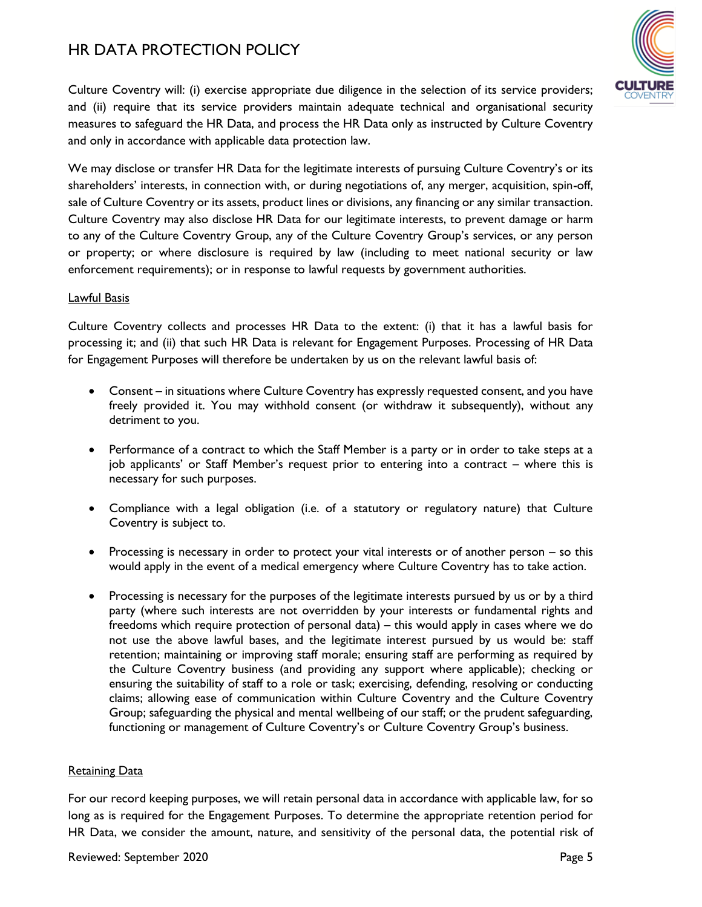

Culture Coventry will: (i) exercise appropriate due diligence in the selection of its service providers; and (ii) require that its service providers maintain adequate technical and organisational security measures to safeguard the HR Data, and process the HR Data only as instructed by Culture Coventry and only in accordance with applicable data protection law.

We may disclose or transfer HR Data for the legitimate interests of pursuing Culture Coventry's or its shareholders' interests, in connection with, or during negotiations of, any merger, acquisition, spin-off, sale of Culture Coventry or its assets, product lines or divisions, any financing or any similar transaction. Culture Coventry may also disclose HR Data for our legitimate interests, to prevent damage or harm to any of the Culture Coventry Group, any of the Culture Coventry Group's services, or any person or property; or where disclosure is required by law (including to meet national security or law enforcement requirements); or in response to lawful requests by government authorities.

#### Lawful Basis

Culture Coventry collects and processes HR Data to the extent: (i) that it has a lawful basis for processing it; and (ii) that such HR Data is relevant for Engagement Purposes. Processing of HR Data for Engagement Purposes will therefore be undertaken by us on the relevant lawful basis of:

- Consent in situations where Culture Coventry has expressly requested consent, and you have freely provided it. You may withhold consent (or withdraw it subsequently), without any detriment to you.
- Performance of a contract to which the Staff Member is a party or in order to take steps at a job applicants' or Staff Member's request prior to entering into a contract – where this is necessary for such purposes.
- Compliance with a legal obligation (i.e. of a statutory or regulatory nature) that Culture Coventry is subject to.
- Processing is necessary in order to protect your vital interests or of another person so this would apply in the event of a medical emergency where Culture Coventry has to take action.
- Processing is necessary for the purposes of the legitimate interests pursued by us or by a third party (where such interests are not overridden by your interests or fundamental rights and freedoms which require protection of personal data) – this would apply in cases where we do not use the above lawful bases, and the legitimate interest pursued by us would be: staff retention; maintaining or improving staff morale; ensuring staff are performing as required by the Culture Coventry business (and providing any support where applicable); checking or ensuring the suitability of staff to a role or task; exercising, defending, resolving or conducting claims; allowing ease of communication within Culture Coventry and the Culture Coventry Group; safeguarding the physical and mental wellbeing of our staff; or the prudent safeguarding, functioning or management of Culture Coventry's or Culture Coventry Group's business.

#### **Retaining Data**

For our record keeping purposes, we will retain personal data in accordance with applicable law, for so long as is required for the Engagement Purposes. To determine the appropriate retention period for HR Data, we consider the amount, nature, and sensitivity of the personal data, the potential risk of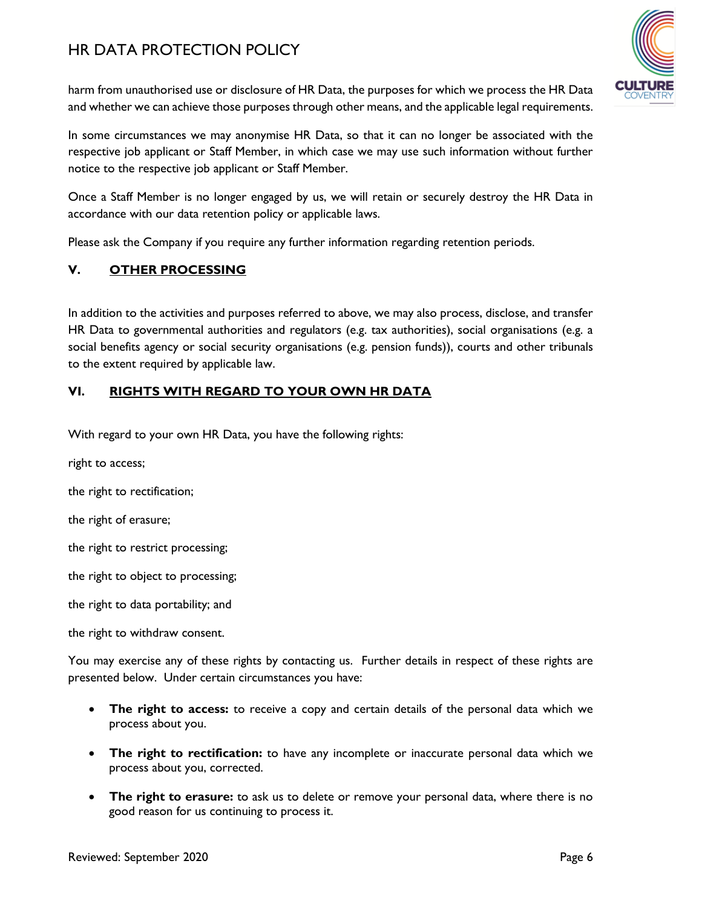

harm from unauthorised use or disclosure of HR Data, the purposes for which we process the HR Data and whether we can achieve those purposes through other means, and the applicable legal requirements.

In some circumstances we may anonymise HR Data, so that it can no longer be associated with the respective job applicant or Staff Member, in which case we may use such information without further notice to the respective job applicant or Staff Member.

Once a Staff Member is no longer engaged by us, we will retain or securely destroy the HR Data in accordance with our data retention policy or applicable laws.

Please ask the Company if you require any further information regarding retention periods.

### **V. OTHER PROCESSING**

In addition to the activities and purposes referred to above, we may also process, disclose, and transfer HR Data to governmental authorities and regulators (e.g. tax authorities), social organisations (e.g. a social benefits agency or social security organisations (e.g. pension funds)), courts and other tribunals to the extent required by applicable law.

### <span id="page-5-0"></span>**VI. RIGHTS WITH REGARD TO YOUR OWN HR DATA**

With regard to your own HR Data, you have the following rights:

right to access;

the right to rectification;

the right of erasure;

the right to restrict processing;

the right to object to processing;

the right to data portability; and

the right to withdraw consent.

You may exercise any of these rights by contacting us. Further details in respect of these rights are presented below. Under certain circumstances you have:

- **The right to access:** to receive a copy and certain details of the personal data which we process about you.
- **The right to rectification:** to have any incomplete or inaccurate personal data which we process about you, corrected.
- **The right to erasure:** to ask us to delete or remove your personal data, where there is no good reason for us continuing to process it.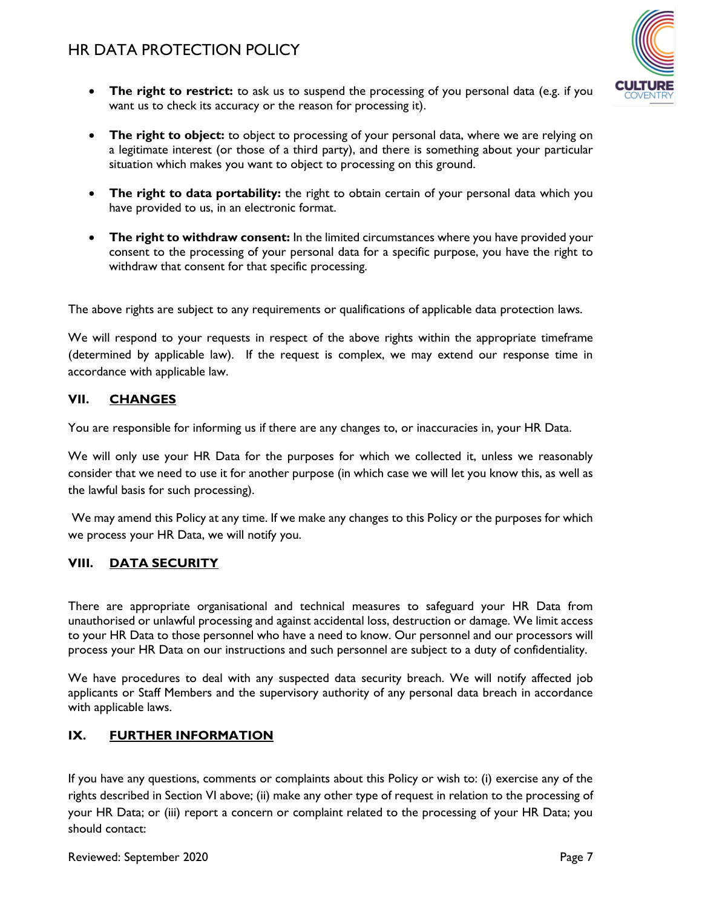

- **The right to restrict:** to ask us to suspend the processing of you personal data (e.g. if you want us to check its accuracy or the reason for processing it).
- **The right to object:** to object to processing of your personal data, where we are relying on a legitimate interest (or those of a third party), and there is something about your particular situation which makes you want to object to processing on this ground.
- **The right to data portability:** the right to obtain certain of your personal data which you have provided to us, in an electronic format.
- **The right to withdraw consent:** In the limited circumstances where you have provided your consent to the processing of your personal data for a specific purpose, you have the right to withdraw that consent for that specific processing.

The above rights are subject to any requirements or qualifications of applicable data protection laws.

We will respond to your requests in respect of the above rights within the appropriate timeframe (determined by applicable law). If the request is complex, we may extend our response time in accordance with applicable law.

### **VII. CHANGES**

You are responsible for informing us if there are any changes to, or inaccuracies in, your HR Data.

We will only use your HR Data for the purposes for which we collected it, unless we reasonably consider that we need to use it for another purpose (in which case we will let you know this, as well as the lawful basis for such processing).

We may amend this Policy at any time. If we make any changes to this Policy or the purposes for which we process your HR Data, we will notify you.

### **VIII. DATA SECURITY**

There are appropriate organisational and technical measures to safeguard your HR Data from unauthorised or unlawful processing and against accidental loss, destruction or damage. We limit access to your HR Data to those personnel who have a need to know. Our personnel and our processors will process your HR Data on our instructions and such personnel are subject to a duty of confidentiality.

We have procedures to deal with any suspected data security breach. We will notify affected job applicants or Staff Members and the supervisory authority of any personal data breach in accordance with applicable laws.

### **IX. FURTHER INFORMATION**

If you have any questions, comments or complaints about this Policy or wish to: (i) exercise any of the rights described in Section [VI](#page-5-0) above; (ii) make any other type of request in relation to the processing of your HR Data; or (iii) report a concern or complaint related to the processing of your HR Data; you should contact: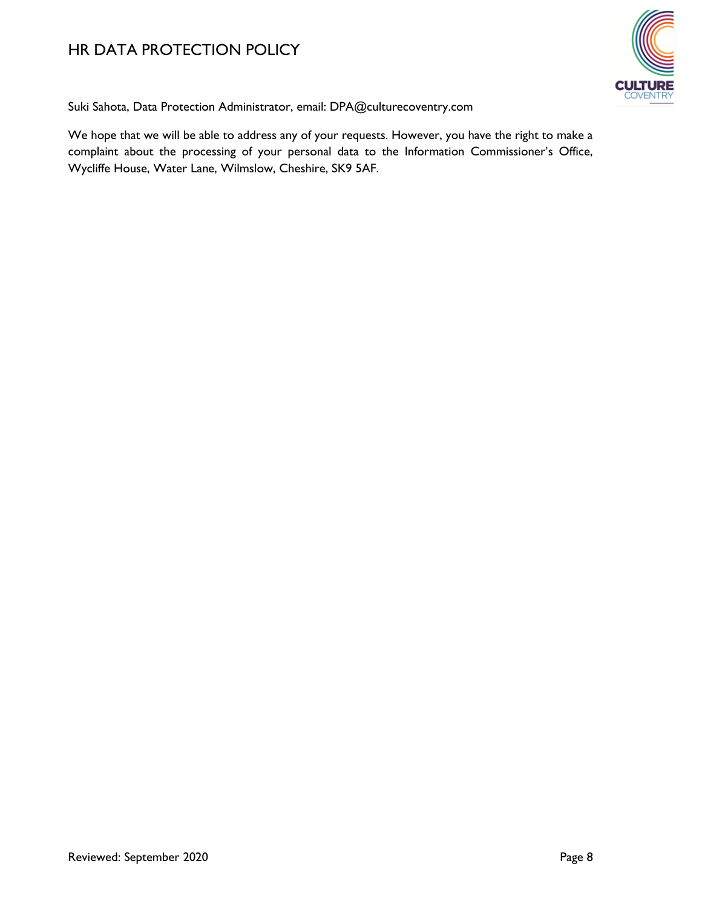

Suki Sahota, Data Protection Administrator, email: DPA@culturecoventry.com

We hope that we will be able to address any of your requests. However, you have the right to make a complaint about the processing of your personal data to the Information Commissioner's Office, Wycliffe House, Water Lane, Wilmslow, Cheshire, SK9 5AF.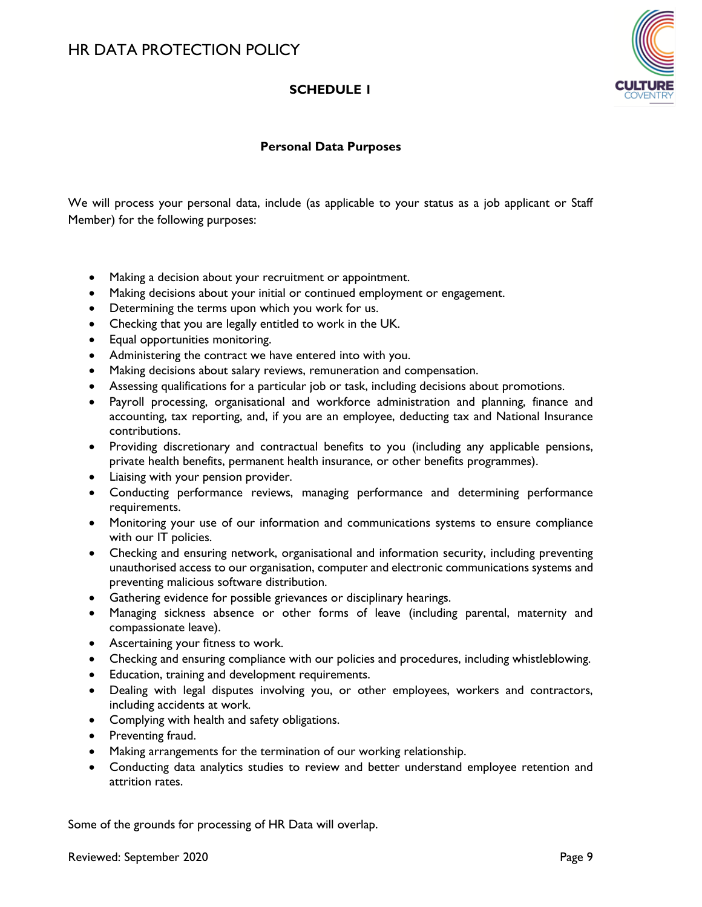## **SCHEDULE 1**



### **Personal Data Purposes**

We will process your personal data, include (as applicable to your status as a job applicant or Staff Member) for the following purposes:

- Making a decision about your recruitment or appointment.
- Making decisions about your initial or continued employment or engagement.
- Determining the terms upon which you work for us.
- Checking that you are legally entitled to work in the UK.
- Equal opportunities monitoring.
- Administering the contract we have entered into with you.
- Making decisions about salary reviews, remuneration and compensation.
- Assessing qualifications for a particular job or task, including decisions about promotions.
- Payroll processing, organisational and workforce administration and planning, finance and accounting, tax reporting, and, if you are an employee, deducting tax and National Insurance contributions.
- Providing discretionary and contractual benefits to you (including any applicable pensions, private health benefits, permanent health insurance, or other benefits programmes).
- Liaising with your pension provider.
- Conducting performance reviews, managing performance and determining performance requirements.
- Monitoring your use of our information and communications systems to ensure compliance with our IT policies.
- Checking and ensuring network, organisational and information security, including preventing unauthorised access to our organisation, computer and electronic communications systems and preventing malicious software distribution.
- Gathering evidence for possible grievances or disciplinary hearings.
- Managing sickness absence or other forms of leave (including parental, maternity and compassionate leave).
- Ascertaining your fitness to work.
- Checking and ensuring compliance with our policies and procedures, including whistleblowing.
- Education, training and development requirements.
- Dealing with legal disputes involving you, or other employees, workers and contractors, including accidents at work.
- Complying with health and safety obligations.
- Preventing fraud.
- Making arrangements for the termination of our working relationship.
- Conducting data analytics studies to review and better understand employee retention and attrition rates.

Some of the grounds for processing of HR Data will overlap.